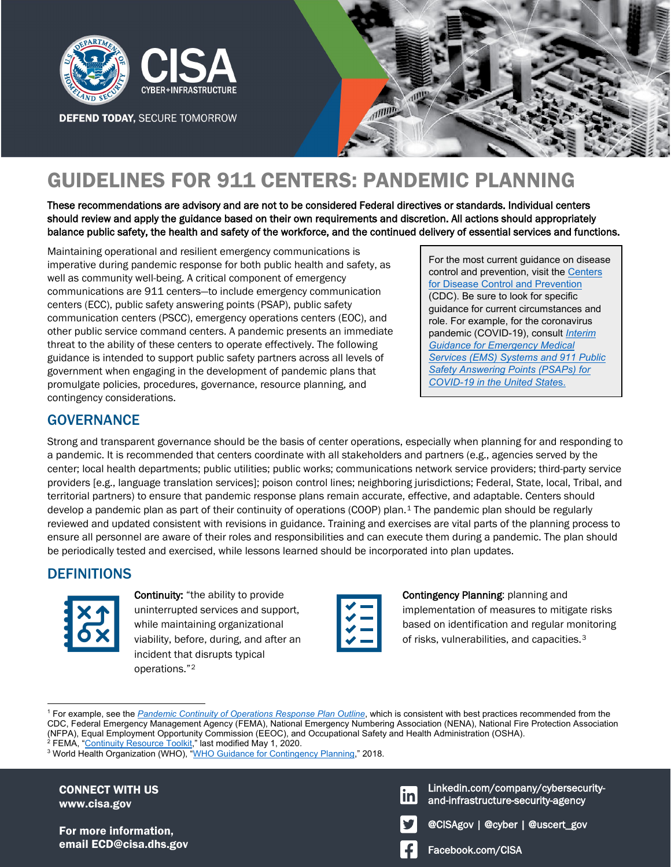

**DEFEND TODAY, SECURE TOMORROW** 



# GUIDELINES FOR 911 CENTERS: PANDEMIC PLANNING

These recommendations are advisory and are not to be considered Federal directives or standards. Individual centers should review and apply the guidance based on their own requirements and discretion. All actions should appropriately balance public safety, the health and safety of the workforce, and the continued delivery of essential services and functions.

Maintaining operational and resilient emergency communications is imperative during pandemic response for both public health and safety, as well as community well-being. A critical component of emergency communications are 911 centers—to include emergency communication centers (ECC), public safety answering points (PSAP), public safety communication centers (PSCC), emergency operations centers (EOC), and other public service command centers. A pandemic presents an immediate threat to the ability of these centers to operate effectively. The following guidance is intended to support public safety partners across all levels of government when engaging in the development of pandemic plans that promulgate policies, procedures, governance, resource planning, and contingency considerations.

For the most current guidance on disease control and prevention, visit the [Centers](https://www.cdc.gov/)  [for Disease Control and Prevention](https://www.cdc.gov/) (CDC). Be sure to look for specific guidance for current circumstances and role. For example, for the coronavirus pandemic (COVID-19), consult *[Interim](https://www.cdc.gov/coronavirus/2019-ncov/hcp/guidance-for-ems.html)  [Guidance for Emergency Medical](https://www.cdc.gov/coronavirus/2019-ncov/hcp/guidance-for-ems.html)  [Services \(EMS\) Systems and 911 Public](https://www.cdc.gov/coronavirus/2019-ncov/hcp/guidance-for-ems.html)  [Safety Answering Points \(PSAPs\) for](https://www.cdc.gov/coronavirus/2019-ncov/hcp/guidance-for-ems.html)  [COVID-19 in the United State](https://www.cdc.gov/coronavirus/2019-ncov/hcp/guidance-for-ems.html)*s.

# **GOVERNANCE**

Strong and transparent governance should be the basis of center operations, especially when planning for and responding to a pandemic. It is recommended that centers coordinate with all stakeholders and partners (e.g., agencies served by the center; local health departments; public utilities; public works; communications network service providers; third-party service providers [e.g., language translation services]; poison control lines; neighboring jurisdictions; Federal, State, local, Tribal, and territorial partners) to ensure that pandemic response plans remain accurate, effective, and adaptable. Centers should develop a pandemic plan as part of their continuity of operations (COOP) plan.<sup>[1](#page-0-0)</sup> The pandemic plan should be regularly reviewed and updated consistent with revisions in guidance. Training and exercises are vital parts of the planning process to ensure all personnel are aware of their roles and responsibilities and can execute them during a pandemic. The plan should be periodically tested and exercised, while lessons learned should be incorporated into plan updates.

# **DEFINITIONS**



 $\overline{a}$ 

Continuity: "the ability to provide uninterrupted services and support, while maintaining organizational viability, before, during, and after an incident that disrupts typical operations."[2](#page-0-1)

Contingency Planning: planning and implementation of measures to mitigate risks based on identification and regular monitoring of risks, vulnerabilities, and capacities.<sup>[3](#page-0-2)</sup>

<span id="page-0-0"></span>1 For example, see the *[Pandemic Continuity of Operations Response Plan Outline](https://www.nena.org/resource/resmgr/covid/911_COVID_COOP_Outline.docx)*, which is consistent with best practices recommended from the CDC, Federal Emergency Management Agency (FEMA), National Emergency Numbering Association (NENA), National Fire Protection Association (NFPA), Equal Employment Opportunity Commission (EEOC), and Occupational Safety and Health Administration (OSHA).

CONNECT WITH US www.cisa.gov

For more information, email ECD@cisa.dhs.gov Facebook.com/CISA

Linkedin.com/company/cybersecurityand-infrastructure-security-agency



<span id="page-0-2"></span><span id="page-0-1"></span><sup>&</sup>lt;sup>2</sup> FEMA, "<u>Continuity Resource Toolkit</u>," last modified May 1, 2020.<br><sup>3</sup> World Health Organization (WHO), "WHO Guidance for Continge <sup>3</sup> World Health Organization (WHO), ["WHO Guidance for Contingency Planning,"](https://apps.who.int/iris/handle/10665/260554) 2018.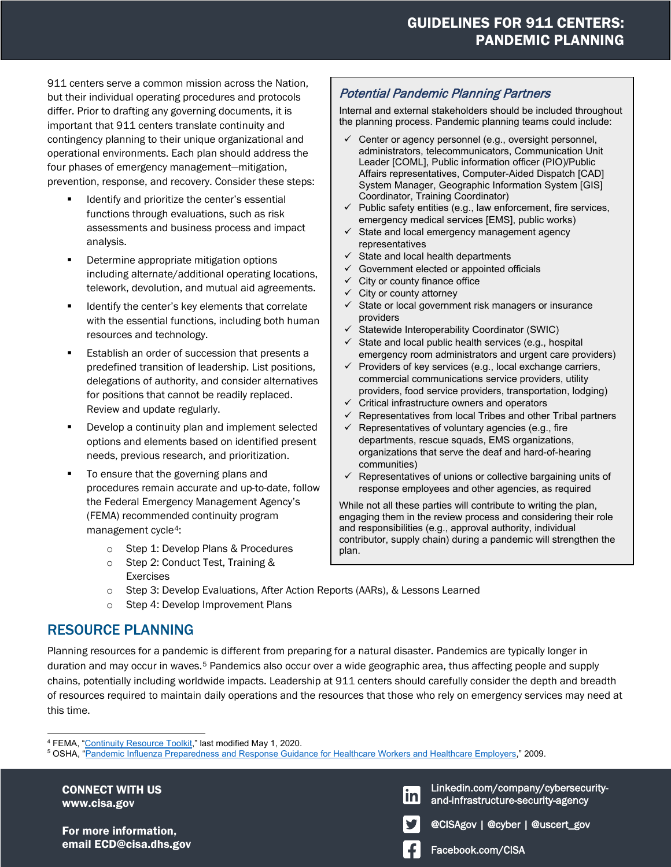# GUIDELINES FOR 911 CENTERS: PANDEMIC PLANNING

911 centers serve a common mission across the Nation, but their individual operating procedures and protocols differ. Prior to drafting any governing documents, it is important that 911 centers translate continuity and contingency planning to their unique organizational and operational environments. Each plan should address the four phases of emergency management—mitigation, prevention, response, and recovery. Consider these steps:

- Identify and prioritize the center's essential functions through evaluations, such as risk assessments and business process and impact analysis.
- **•** Determine appropriate mitigation options including alternate/additional operating locations, telework, devolution, and mutual aid agreements.
- **If** Identify the center's key elements that correlate with the essential functions, including both human resources and technology.
- **Establish an order of succession that presents a** predefined transition of leadership. List positions, delegations of authority, and consider alternatives for positions that cannot be readily replaced. Review and update regularly.
- **Develop a continuity plan and implement selected** options and elements based on identified present needs, previous research, and prioritization.
- To ensure that the governing plans and procedures remain accurate and up-to-date, follow the Federal Emergency Management Agency's (FEMA) recommended continuity program management cycle<sup>[4](#page-1-0)</sup>:
	- o Step 1: Develop Plans & Procedures
	- o Step 2: Conduct Test, Training & Exercises

## Potential Pandemic Planning Partners

Internal and external stakeholders should be included throughout the planning process. Pandemic planning teams could include:

- $\checkmark$  Center or agency personnel (e.g., oversight personnel, administrators, telecommunicators, Communication Unit Leader [COML], Public information officer (PIO)/Public Affairs representatives, Computer-Aided Dispatch [CAD] System Manager, Geographic Information System [GIS] Coordinator, Training Coordinator)
- $\checkmark$  Public safety entities (e.g., law enforcement, fire services, emergency medical services [EMS], public works)
- $\checkmark$  State and local emergency management agency representatives
- $\checkmark$  State and local health departments
- $\checkmark$  Government elected or appointed officials
- $\checkmark$  City or county finance office
- $\checkmark$  City or county attorney
- $\checkmark$  State or local government risk managers or insurance providers
- Statewide Interoperability Coordinator (SWIC)
- $\checkmark$  State and local public health services (e.g., hospital emergency room administrators and urgent care providers)
- $\checkmark$  Providers of key services (e.g., local exchange carriers, commercial communications service providers, utility providers, food service providers, transportation, lodging)
- Critical infrastructure owners and operators
- $\checkmark$  Representatives from local Tribes and other Tribal partners
- $\checkmark$  Representatives of voluntary agencies (e.g., fire departments, rescue squads, EMS organizations, organizations that serve the deaf and hard-of-hearing communities)
- $\checkmark$  Representatives of unions or collective bargaining units of response employees and other agencies, as required

While not all these parties will contribute to writing the plan, engaging them in the review process and considering their role and responsibilities (e.g., approval authority, individual contributor, supply chain) during a pandemic will strengthen the plan.

- o Step 3: Develop Evaluations, After Action Reports (AARs), & Lessons Learned
- o Step 4: Develop Improvement Plans

# RESOURCE PLANNING

Planning resources for a pandemic is different from preparing for a natural disaster. Pandemics are typically longer in duration and may occur in waves.[5](#page-1-1) Pandemics also occur over a wide geographic area, thus affecting people and supply chains, potentially including worldwide impacts. Leadership at 911 centers should carefully consider the depth and breadth of resources required to maintain daily operations and the resources that those who rely on emergency services may need at this time.

CONNECT WITH US www.cisa.gov

For more information, email ECD@cisa.dhs.gov Facebook.com/CISA

and-infrastructure-security-agency Linkedin.com/company/cybersecurity-





<u>inl</u>

 $\overline{a}$ <sup>4</sup> FEMA, "<u>Continuity Resource Toolkit</u>," last modified May 1, 2020.<br><sup>5</sup> OSHA "Pandemic Influenza Prenaredness and Response Guida

<span id="page-1-1"></span><span id="page-1-0"></span>OSHA, ["Pandemic Influenza Preparedness and Response Guidance for Healthcare Workers and Healthcare Employers,"](https://www.osha.gov/Publications/OSHA_pandemic_health.pdf) 2009.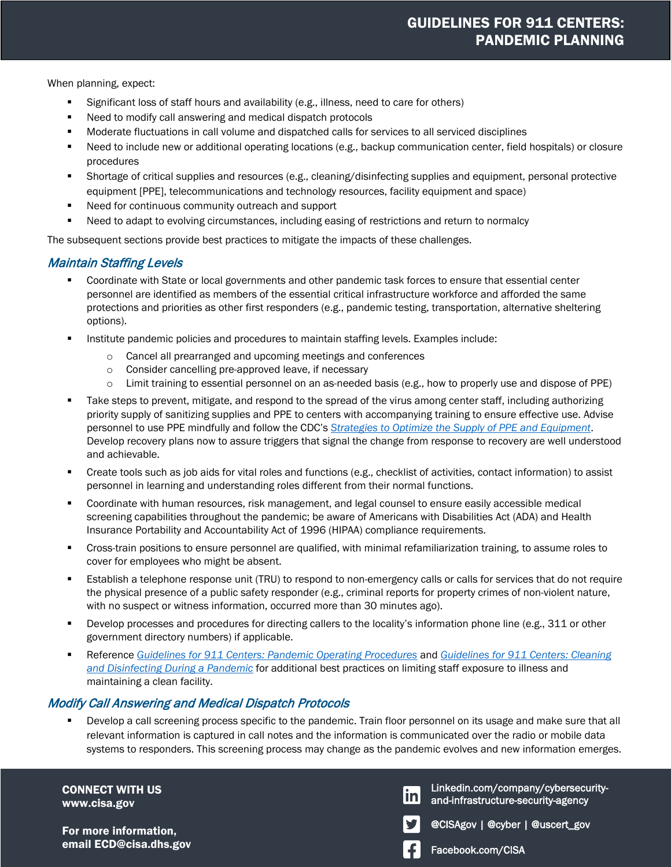When planning, expect:

- Significant loss of staff hours and availability (e.g., illness, need to care for others)
- Need to modify call answering and medical dispatch protocols
- Moderate fluctuations in call volume and dispatched calls for services to all serviced disciplines
- Need to include new or additional operating locations (e.g., backup communication center, field hospitals) or closure procedures
- Shortage of critical supplies and resources (e.g., cleaning/disinfecting supplies and equipment, personal protective equipment [PPE], telecommunications and technology resources, facility equipment and space)
- Need for continuous community outreach and support
- **•** Need to adapt to evolving circumstances, including easing of restrictions and return to normalcy

The subsequent sections provide best practices to mitigate the impacts of these challenges.

### Maintain Staffing Levels

- Coordinate with State or local governments and other pandemic task forces to ensure that essential center personnel are identified as members of the essential critical infrastructure workforce and afforded the same protections and priorities as other first responders (e.g., pandemic testing, transportation, alternative sheltering options).
- Institute pandemic policies and procedures to maintain staffing levels. Examples include:
	- o Cancel all prearranged and upcoming meetings and conferences
	- o Consider cancelling pre-approved leave, if necessary
	- o Limit training to essential personnel on an as-needed basis (e.g., how to properly use and dispose of PPE)
- **Take steps to prevent, mitigate, and respond to the spread of the virus among center staff, including authorizing** priority supply of sanitizing supplies and PPE to centers with accompanying training to ensure effective use. Advise personnel to use PPE mindfully and follow the CDC's *[Strategies to Optimize the Supply of PPE and Equipment](https://www.cdc.gov/coronavirus/2019-ncov/hcp/ppe-strategy/index.html?CDC_AA_refVal=https%3A%2F%2Fwww.cdc.gov%2Fcoronavirus%2F2019-ncov%2Fhcp%2Fhealthcare-supply-ppe-index.html)*. Develop recovery plans now to assure triggers that signal the change from response to recovery are well understood and achievable.
- Create tools such as job aids for vital roles and functions (e.g., checklist of activities, contact information) to assist personnel in learning and understanding roles different from their normal functions.
- **Coordinate with human resources, risk management, and legal counsel to ensure easily accessible medical** screening capabilities throughout the pandemic; be aware of Americans with Disabilities Act (ADA) and Health Insurance Portability and Accountability Act of 1996 (HIPAA) compliance requirements.
- Cross-train positions to ensure personnel are qualified, with minimal refamiliarization training, to assume roles to cover for employees who might be absent.
- **Establish a telephone response unit (TRU) to respond to non-emergency calls or calls for services that do not require** the physical presence of a public safety responder (e.g., criminal reports for property crimes of non-violent nature, with no suspect or witness information, occurred more than 30 minutes ago).
- **Permion processes and procedures for directing callers to the locality's information phone line (e.g., 311 or other** government directory numbers) if applicable.
- Reference *[Guidelines for 911 Centers: Pandemic Operating Procedures](https://www.cisa.gov/coronavirus)* and *[Guidelines for 911 Centers: Cleaning](https://www.cisa.gov/coronavirus)  [and Disinfecting](https://www.cisa.gov/coronavirus) During a Pandemic* for additional best practices on limiting staff exposure to illness and maintaining a clean facility.

### Modify Call Answering and Medical Dispatch Protocols

**Parage 2** Develop a call screening process specific to the pandemic. Train floor personnel on its usage and make sure that all relevant information is captured in call notes and the information is communicated over the radio or mobile data systems to responders. This screening process may change as the pandemic evolves and new information emerges.

CONNECT WITH US www.cisa.gov

For more information, email ECD@cisa.dhs.gov Facebook.com/CISA

Linkedin.com/company/cybersecurity-<u>inl</u> and-infrastructure-security-agency



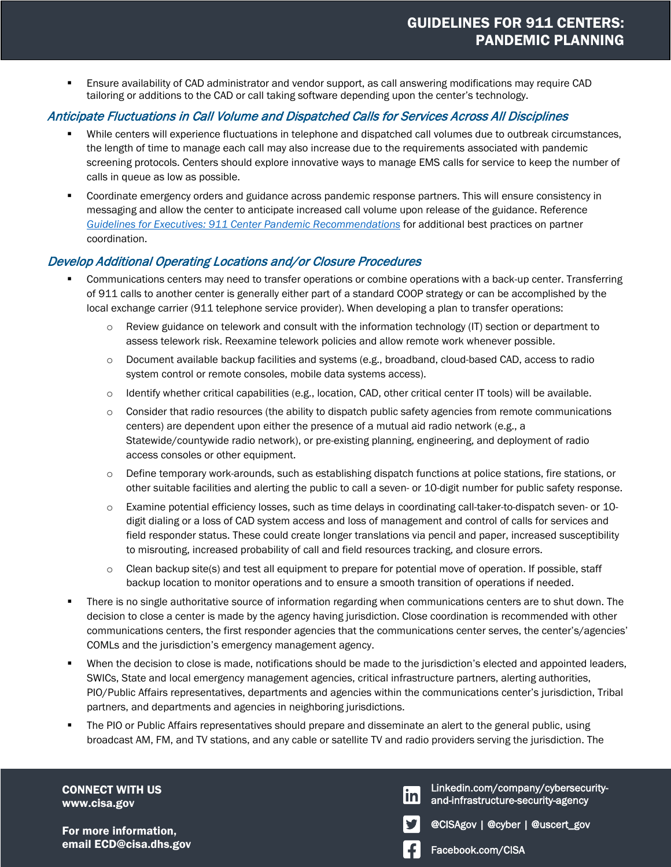Ensure availability of CAD administrator and vendor support, as call answering modifications may require CAD tailoring or additions to the CAD or call taking software depending upon the center's technology.

## Anticipate Fluctuations in Call Volume and Dispatched Calls for Services Across All Disciplines

- While centers will experience fluctuations in telephone and dispatched call volumes due to outbreak circumstances, the length of time to manage each call may also increase due to the requirements associated with pandemic screening protocols. Centers should explore innovative ways to manage EMS calls for service to keep the number of calls in queue as low as possible.
- Coordinate emergency orders and guidance across pandemic response partners. This will ensure consistency in messaging and allow the center to anticipate increased call volume upon release of the guidance. Reference *[Guidelines for Executives: 911 Center Pandemic Recommendations](https://www.cisa.gov/coronavirus)* for additional best practices on partner coordination.

### Develop Additional Operating Locations and/or Closure Procedures

- Communications centers may need to transfer operations or combine operations with a back-up center. Transferring of 911 calls to another center is generally either part of a standard COOP strategy or can be accomplished by the local exchange carrier (911 telephone service provider). When developing a plan to transfer operations:
	- $\circ$  Review guidance on telework and consult with the information technology (IT) section or department to assess telework risk. Reexamine telework policies and allow remote work whenever possible.
	- o Document available backup facilities and systems (e.g., broadband, cloud-based CAD, access to radio system control or remote consoles, mobile data systems access).
	- $\circ$  Identify whether critical capabilities (e.g., location, CAD, other critical center IT tools) will be available.
	- o Consider that radio resources (the ability to dispatch public safety agencies from remote communications centers) are dependent upon either the presence of a mutual aid radio network (e.g., a Statewide/countywide radio network), or pre-existing planning, engineering, and deployment of radio access consoles or other equipment.
	- o Define temporary work-arounds, such as establishing dispatch functions at police stations, fire stations, or other suitable facilities and alerting the public to call a seven- or 10-digit number for public safety response.
	- o Examine potential efficiency losses, such as time delays in coordinating call-taker-to-dispatch seven- or 10 digit dialing or a loss of CAD system access and loss of management and control of calls for services and field responder status. These could create longer translations via pencil and paper, increased susceptibility to misrouting, increased probability of call and field resources tracking, and closure errors.
	- o Clean backup site(s) and test all equipment to prepare for potential move of operation. If possible, staff backup location to monitor operations and to ensure a smooth transition of operations if needed.
- There is no single authoritative source of information regarding when communications centers are to shut down. The decision to close a center is made by the agency having jurisdiction. Close coordination is recommended with other communications centers, the first responder agencies that the communications center serves, the center's/agencies' COMLs and the jurisdiction's emergency management agency.
- When the decision to close is made, notifications should be made to the jurisdiction's elected and appointed leaders, SWICs, State and local emergency management agencies, critical infrastructure partners, alerting authorities, PIO/Public Affairs representatives, departments and agencies within the communications center's jurisdiction, Tribal partners, and departments and agencies in neighboring jurisdictions.
- **The PIO or Public Affairs representatives should prepare and disseminate an alert to the general public, using** broadcast AM, FM, and TV stations, and any cable or satellite TV and radio providers serving the jurisdiction. The

CONNECT WITH US www.cisa.gov

For more information, email ECD@cisa.dhs.gov Facebook.com/CISA

Linkedin.com/company/cybersecurity-<u>in</u> and-infrastructure-security-agency



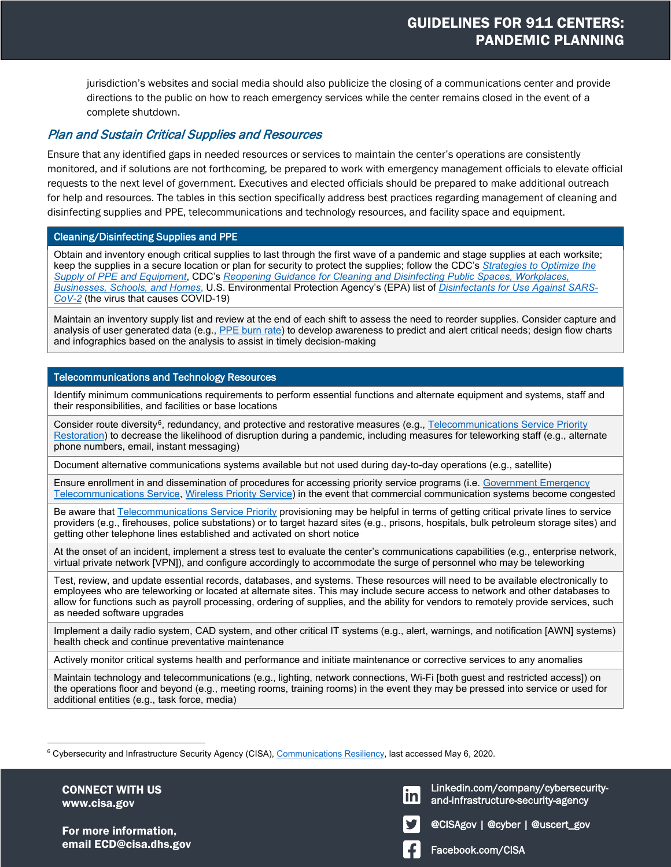jurisdiction's websites and social media should also publicize the closing of a communications center and provide directions to the public on how to reach emergency services while the center remains closed in the event of a complete shutdown.

#### Plan and Sustain Critical Supplies and Resources

Ensure that any identified gaps in needed resources or services to maintain the center's operations are consistently monitored, and if solutions are not forthcoming, be prepared to work with emergency management officials to elevate official requests to the next level of government. Executives and elected officials should be prepared to make additional outreach for help and resources. The tables in this section specifically address best practices regarding management of cleaning and disinfecting supplies and PPE, telecommunications and technology resources, and facility space and equipment.

#### Cleaning/Disinfecting Supplies and PPE

Obtain and inventory enough critical supplies to last through the first wave of a pandemic and stage supplies at each worksite; keep the supplies in a secure location or plan for security to protect the supplies; follow the CDC's *[Strategies to Optimize the](https://www.cdc.gov/coronavirus/2019-ncov/hcp/ppe-strategy/index.html?CDC_AA_refVal=https%3A%2F%2Fwww.cdc.gov%2Fcoronavirus%2F2019-ncov%2Fhcp%2Fhealthcare-supply-ppe-index.html)  [Supply of PPE and Equipment](https://www.cdc.gov/coronavirus/2019-ncov/hcp/ppe-strategy/index.html?CDC_AA_refVal=https%3A%2F%2Fwww.cdc.gov%2Fcoronavirus%2F2019-ncov%2Fhcp%2Fhealthcare-supply-ppe-index.html)*, CDC's *[Reopening Guidance for Cleaning and Disinfecting Public Spaces, Workplaces,](https://www.cdc.gov/coronavirus/2019-ncov/community/reopen-guidance.html)  [Businesses, Schools, and Homes](https://www.cdc.gov/coronavirus/2019-ncov/community/reopen-guidance.html)*, U.S. Environmental Protection Agency's (EPA) list of *[Disinfectants for Use Against SARS-](https://www.epa.gov/pesticide-registration/list-n-disinfectants-use-against-sars-cov-2)[CoV-2](https://www.epa.gov/pesticide-registration/list-n-disinfectants-use-against-sars-cov-2)* (the virus that causes COVID-19)

Maintain an inventory supply list and review at the end of each shift to assess the need to reorder supplies. Consider capture and analysis of user generated data (e.g., [PPE burn rate\)](https://www.cdc.gov/coronavirus/2019-ncov/hcp/ppe-strategy/burn-calculator.html) to develop awareness to predict and alert critical needs; design flow charts and infographics based on the analysis to assist in timely decision-making

#### Telecommunications and Technology Resources

Identify minimum communications requirements to perform essential functions and alternate equipment and systems, staff and their responsibilities, and facilities or base locations

Consider route diversity<sup>6</sup>, redundancy, and protective and restorative measures (e.g.[, Telecommunications Service Priority](https://www.cisa.gov/telecommunications-service-priority-tsp) Restoration) to decrease the likelihood of disruption during a pandemic, including measures for teleworking staff (e.g., alternate phone numbers, email, instant messaging)

Document alternative communications systems available but not used during day-to-day operations (e.g., satellite)

Ensure enrollment in and dissemination of procedures for accessing priority service programs (i.e. Government Emergency [Telecommunications Service,](https://www.cisa.gov/government-emergency-telecommunications-service-gets) [Wireless Priority Service\)](https://www.cisa.gov/wireless-priority-service-wps) in the event that commercial communication systems become congested

Be aware that [Telecommunications Service Priority](https://www.cisa.gov/telecommunications-service-priority-tsp) provisioning may be helpful in terms of getting critical private lines to service providers (e.g., firehouses, police substations) or to target hazard sites (e.g., prisons, hospitals, bulk petroleum storage sites) and getting other telephone lines established and activated on short notice

At the onset of an incident, implement a stress test to evaluate the center's communications capabilities (e.g., enterprise network, virtual private network [VPN]), and configure accordingly to accommodate the surge of personnel who may be teleworking

Test, review, and update essential records, databases, and systems. These resources will need to be available electronically to employees who are teleworking or located at alternate sites. This may include secure access to network and other databases to allow for functions such as payroll processing, ordering of supplies, and the ability for vendors to remotely provide services, such as needed software upgrades

Implement a daily radio system, CAD system, and other critical IT systems (e.g., alert, warnings, and notification [AWN] systems) health check and continue preventative maintenance

Actively monitor critical systems health and performance and initiate maintenance or corrective services to any anomalies

Maintain technology and telecommunications (e.g., lighting, network connections, Wi-Fi [both guest and restricted access]) on the operations floor and beyond (e.g., meeting rooms, training rooms) in the event they may be pressed into service or used for additional entities (e.g., task force, media)

CONNECT WITH US www.cisa.gov

 $\overline{a}$ 

For more information, email ECD@cisa.dhs.gov Facebook.com/CISA

and-infrastructure-security-agency Linkedin.com/company/cybersecurity-

@CISAgov | @cyber | @uscert\_gov

<span id="page-4-0"></span> $^6$  Cybersecurity and Infrastructure Security Agency (CISA),  $\rm{\underline{Communications Resiliency}}$ , last accessed May 6, 2020.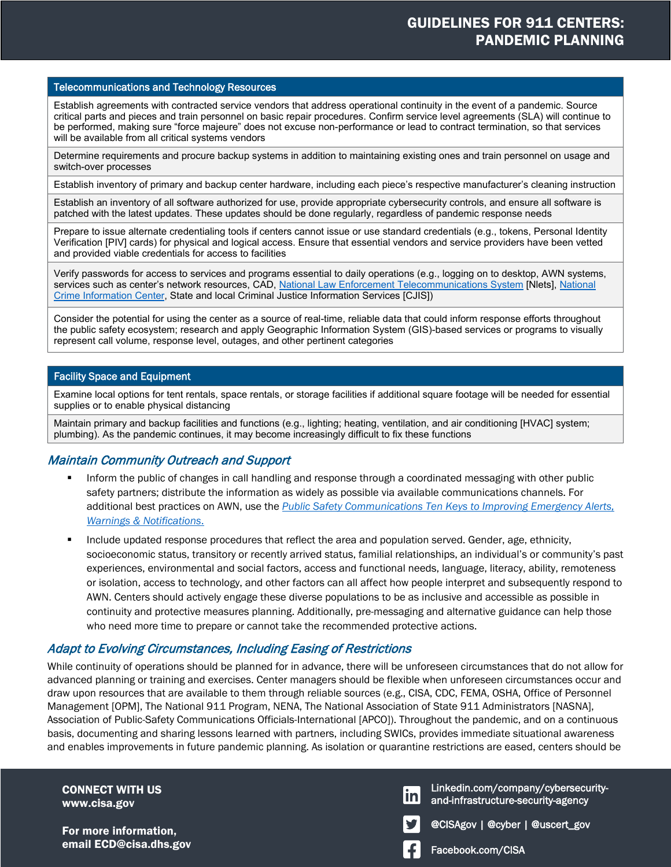#### Telecommunications and Technology Resources

Establish agreements with contracted service vendors that address operational continuity in the event of a pandemic. Source critical parts and pieces and train personnel on basic repair procedures. Confirm service level agreements (SLA) will continue to be performed, making sure "force majeure" does not excuse non-performance or lead to contract termination, so that services will be available from all critical systems vendors

Determine requirements and procure backup systems in addition to maintaining existing ones and train personnel on usage and switch-over processes

Establish inventory of primary and backup center hardware, including each piece's respective manufacturer's cleaning instruction

Establish an inventory of all software authorized for use, provide appropriate cybersecurity controls, and ensure all software is patched with the latest updates. These updates should be done regularly, regardless of pandemic response needs

Prepare to issue alternate credentialing tools if centers cannot issue or use standard credentials (e.g., tokens, Personal Identity Verification [PIV] cards) for physical and logical access. Ensure that essential vendors and service providers have been vetted and provided viable credentials for access to facilities

Verify passwords for access to services and programs essential to daily operations (e.g., logging on to desktop, AWN systems, services such as center's network resources, CAD, [National Law Enforcement Telecommunications System](https://www.nlets.org/) [Nlets], National [Crime Information Center,](https://www.fbi.gov/services/cjis/ncic) State and local Criminal Justice Information Services [CJIS])

Consider the potential for using the center as a source of real-time, reliable data that could inform response efforts throughout the public safety ecosystem; research and apply Geographic Information System (GIS)-based services or programs to visually represent call volume, response level, outages, and other pertinent categories

#### Facility Space and Equipment

Examine local options for tent rentals, space rentals, or storage facilities if additional square footage will be needed for essential supplies or to enable physical distancing

Maintain primary and backup facilities and functions (e.g., lighting; heating, ventilation, and air conditioning [HVAC] system; plumbing). As the pandemic continues, it may become increasingly difficult to fix these functions

### Maintain Community Outreach and Support

- Inform the public of changes in call handling and response through a coordinated messaging with other public safety partners; distribute the information as widely as possible via available communications channels. For additional best practices on AWN, use the *[Public Safety Communications Ten Keys to Improving Emergency Alerts,](https://www.dhs.gov/publication/alerts-and-warnings)  [Warnings & Notifications](https://www.dhs.gov/publication/alerts-and-warnings)*.
- **Include updated response procedures that reflect the area and population served. Gender, age, ethnicity,** socioeconomic status, transitory or recently arrived status, familial relationships, an individual's or community's past experiences, environmental and social factors, access and functional needs, language, literacy, ability, remoteness or isolation, access to technology, and other factors can all affect how people interpret and subsequently respond to AWN. Centers should actively engage these diverse populations to be as inclusive and accessible as possible in continuity and protective measures planning. Additionally, pre-messaging and alternative guidance can help those who need more time to prepare or cannot take the recommended protective actions.

### Adapt to Evolving Circumstances, Including Easing of Restrictions

While continuity of operations should be planned for in advance, there will be unforeseen circumstances that do not allow for advanced planning or training and exercises. Center managers should be flexible when unforeseen circumstances occur and draw upon resources that are available to them through reliable sources (e.g., CISA, CDC, FEMA, OSHA, Office of Personnel Management [OPM], The National 911 Program, NENA, The National Association of State 911 Administrators [NASNA], Association of Public-Safety Communications Officials-International [APCO]). Throughout the pandemic, and on a continuous basis, documenting and sharing lessons learned with partners, including SWICs, provides immediate situational awareness and enables improvements in future pandemic planning. As isolation or quarantine restrictions are eased, centers should be

CONNECT WITH US www.cisa.gov

For more information, email ECD@cisa.dhs.gov Facebook.com/CISA

and-infrastructure-security-agency Linkedin.com/company/cybersecurity-